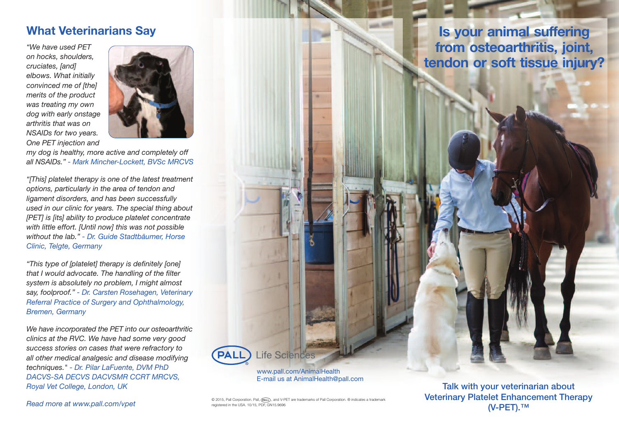#### **What Veterinarians Say**

*"We have used PET on hocks, shoulders, cruciates, [and] elbows. What initially convinced me of [the] merits of the product was treating my own dog with early onstage arthritis that was on NSAIDs for two years. One PET injection and*



*my dog is healthy, more active and completely off all NSAIDs." - Mark Mincher-Lockett, BVSc MRCVS*

*"[This] platelet therapy is one of the latest treatment options, particularly in the area of tendon and ligament disorders, and has been successfully used in our clinic for years. The special thing about [PET] is [its] ability to produce platelet concentrate with little effort. [Until now] this was not possible without the lab." - Dr. Guide Stadtbäumer, Horse Clinic, Telgte, Germany*

*"This type of [platelet] therapy is definitely [one] that I would advocate. The handling of the filter system is absolutely no problem, I might almost say, foolproof." - Dr. Carsten Rosehagen, Veterinary Referral Practice of Surgery and Ophthalmology, Bremen, Germany*

*We have incorporated the PET into our osteoarthritic clinics at the RVC. We have had some very good success stories on cases that were refractory to all other medical analgesic and disease modifying techniques." - Dr. Pilar LaFuente, DVM PhD DACVS-SA DECVS DACVSMR CCRT MRCVS, Royal Vet College, London, UK*

**Is your animal suffering from osteoarthritis, joint, tendon or soft tissue injury?**

**Read more at www.pall.com/vpet** 
<sup>© 2015, Pall Corporation. Pall,  $\frac{1}{\sqrt{2}}$ , and V-PET are trademarks of Pall Corporation. ® indicates a trademarks of Pall Corporation. ® indicates a trademarks of Pall Corporation. © i</sup> registered in the USA. 10/15, PDF, GN15.9696

www.pall.com/AnimalHealth E-mail us at AnimalHealth@pall.com

Life Sciences

**Talk with your veterinarian about Veterinary Platelet Enhancement Therapy (V-PET).™**